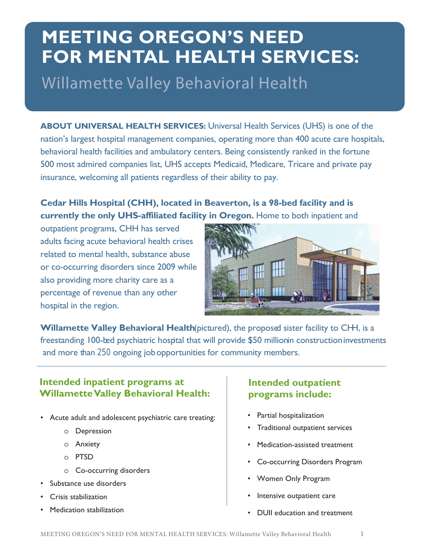# **MEETING OREGON'S NEED FOR MENTAL HEALTH SERVICES:**

Willamette Valley Behavioral Health

**ABOUT UNIVERSAL HEALTH SERVICES:** Universal Health Services (UHS) is one of the nation's largest hospital management companies, operating more than 400 acute care hospitals, behavioral health facilities and ambulatory centers. Being consistently ranked in the fortune 500 most admired companies list, UHS accepts Medicaid, Medicare, Tricare and private pay insurance, welcoming all patients regardless of their ability to pay.

#### **Cedar Hills Hospital (CHH), located in Beaverton, is a 98-bed facility and is currently the only UHS-affiliated facility in Oregon.** Home to both inpatient and

outpatient programs, CHH has served adults facing acute behavioral health crises related to mental health, substance abuse or co-occurring disorders since 2009 while also providing more charity care as a percentage of revenue than any other hospital in the region.



**Willamette Valley Behavioral Health** (pictured), the proposed sister facility to CHH, is a freestanding 100-bed psychiatric hospital that will provide \$50 millionin construction investments and more than 250 ongoing job opportunities for community members.

#### **Intended inpatient programs at Willamette Valley Behavioral Health:**

- Acute adult and adolescent psychiatric care treating:
	- o Depression
	- o Anxiety
	- o PTSD
	- o Co-occurring disorders
- Substance use disorders
- Crisis stabilization
- Medication stabilization

#### **Intended outpatient programs include:**

- Partial hospitalization
- Traditional outpatient services
- Medication-assisted treatment
- Co-occurring Disorders Program
- Women Only Program
- Intensive outpatient care
- DUII education and treatment